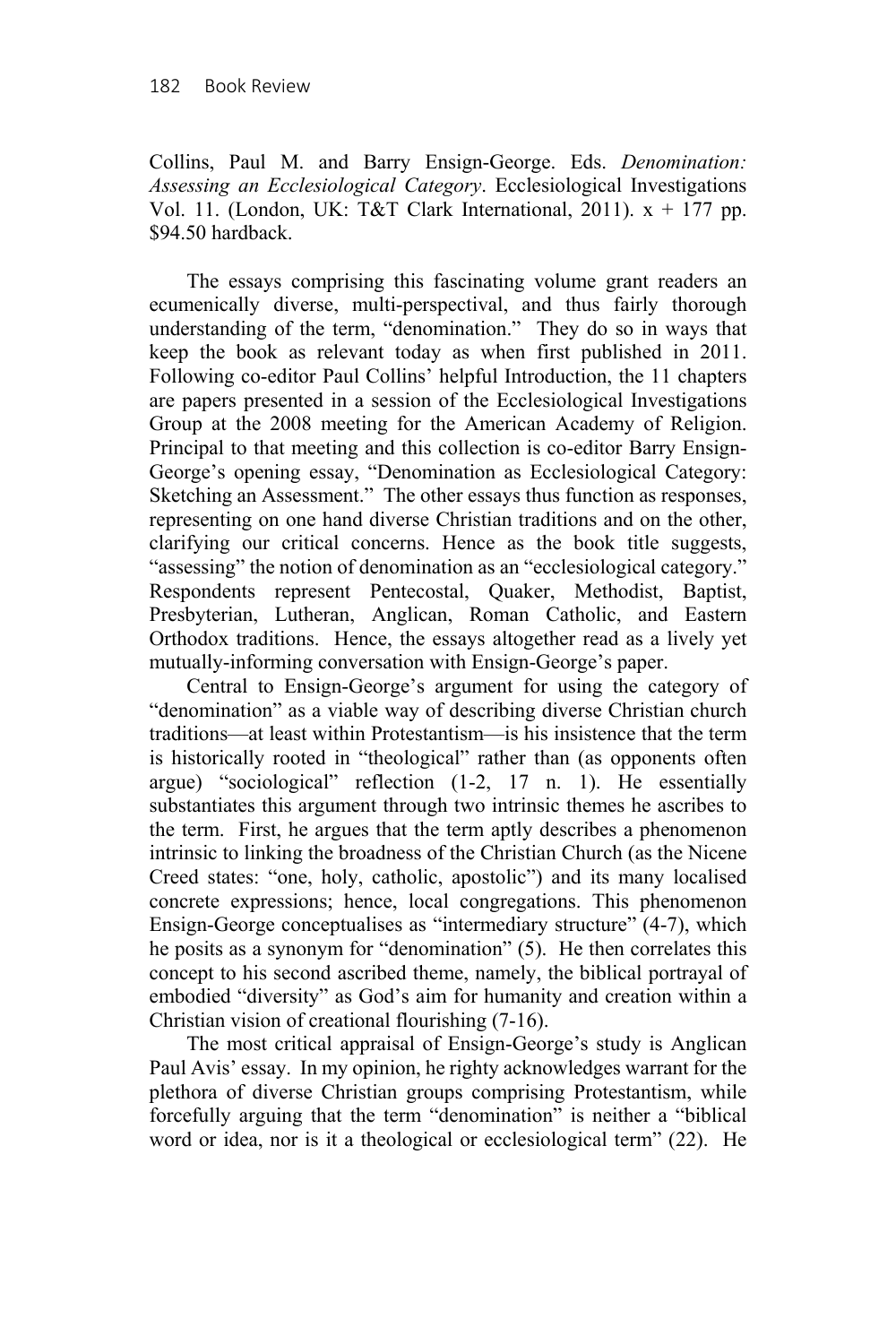Collins, Paul M. and Barry Ensign-George. Eds. *Denomination: Assessing an Ecclesiological Category*. Ecclesiological Investigations Vol. 11. (London, UK: T&T Clark International, 2011).  $x + 177$  pp. \$94.50 hardback.

The essays comprising this fascinating volume grant readers an ecumenically diverse, multi-perspectival, and thus fairly thorough understanding of the term, "denomination." They do so in ways that keep the book as relevant today as when first published in 2011. Following co-editor Paul Collins' helpful Introduction, the 11 chapters are papers presented in a session of the Ecclesiological Investigations Group at the 2008 meeting for the American Academy of Religion. Principal to that meeting and this collection is co-editor Barry Ensign-George's opening essay, "Denomination as Ecclesiological Category: Sketching an Assessment." The other essays thus function as responses, representing on one hand diverse Christian traditions and on the other, clarifying our critical concerns. Hence as the book title suggests, "assessing" the notion of denomination as an "ecclesiological category." Respondents represent Pentecostal, Quaker, Methodist, Baptist, Presbyterian, Lutheran, Anglican, Roman Catholic, and Eastern Orthodox traditions. Hence, the essays altogether read as a lively yet mutually-informing conversation with Ensign-George's paper.

Central to Ensign-George's argument for using the category of "denomination" as a viable way of describing diverse Christian church traditions—at least within Protestantism—is his insistence that the term is historically rooted in "theological" rather than (as opponents often argue) "sociological" reflection (1-2, 17 n. 1). He essentially substantiates this argument through two intrinsic themes he ascribes to the term. First, he argues that the term aptly describes a phenomenon intrinsic to linking the broadness of the Christian Church (as the Nicene Creed states: "one, holy, catholic, apostolic") and its many localised concrete expressions; hence, local congregations. This phenomenon Ensign-George conceptualises as "intermediary structure" (4-7), which he posits as a synonym for "denomination" (5). He then correlates this concept to his second ascribed theme, namely, the biblical portrayal of embodied "diversity" as God's aim for humanity and creation within a Christian vision of creational flourishing (7-16).

The most critical appraisal of Ensign-George's study is Anglican Paul Avis' essay. In my opinion, he righty acknowledges warrant for the plethora of diverse Christian groups comprising Protestantism, while forcefully arguing that the term "denomination" is neither a "biblical word or idea, nor is it a theological or ecclesiological term" (22). He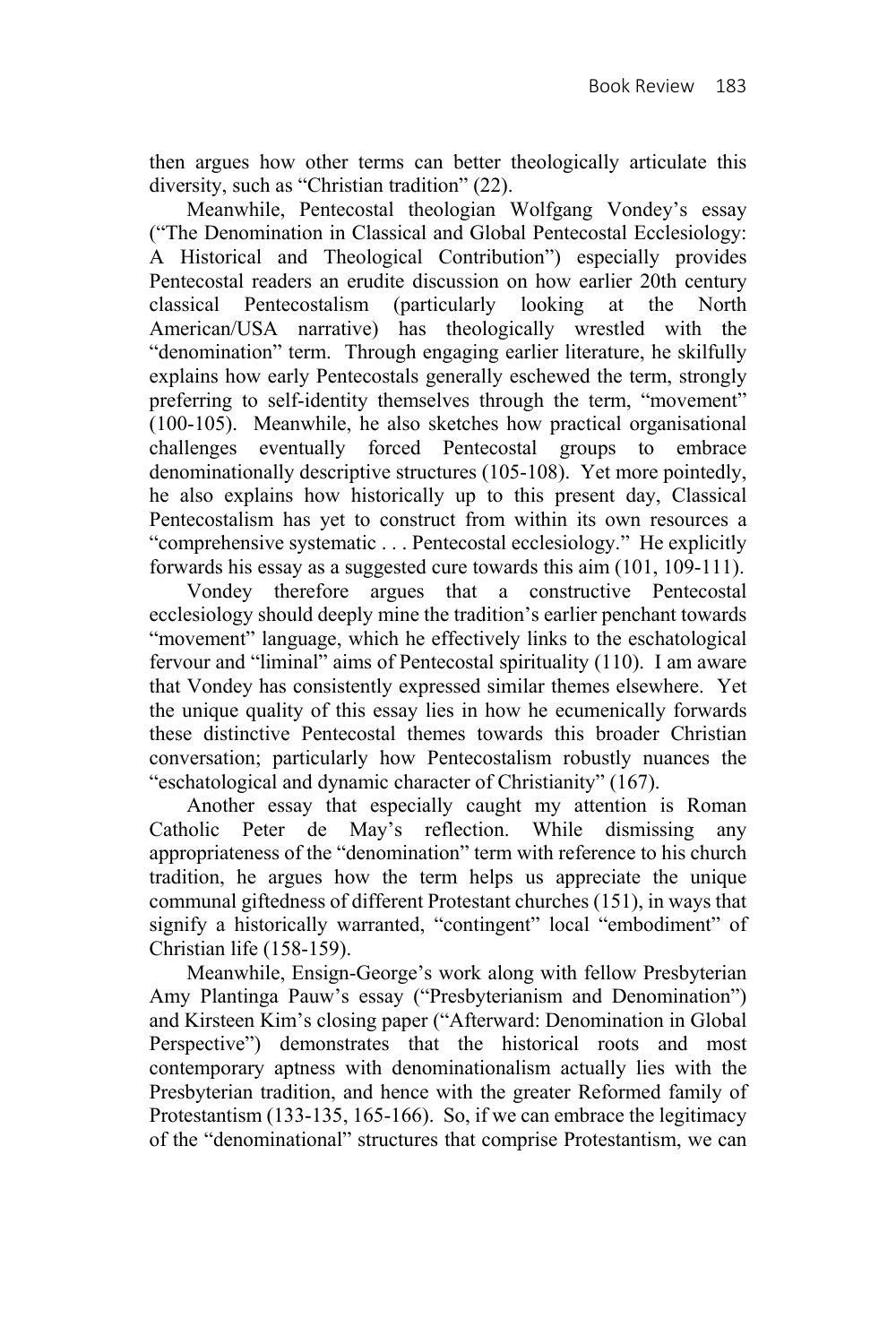then argues how other terms can better theologically articulate this diversity, such as "Christian tradition" (22).

Meanwhile, Pentecostal theologian Wolfgang Vondey's essay ("The Denomination in Classical and Global Pentecostal Ecclesiology: A Historical and Theological Contribution") especially provides Pentecostal readers an erudite discussion on how earlier 20th century classical Pentecostalism (particularly looking at the North American/USA narrative) has theologically wrestled with the "denomination" term. Through engaging earlier literature, he skilfully explains how early Pentecostals generally eschewed the term, strongly preferring to self-identity themselves through the term, "movement" (100-105). Meanwhile, he also sketches how practical organisational challenges eventually forced Pentecostal groups to embrace denominationally descriptive structures (105-108). Yet more pointedly, he also explains how historically up to this present day, Classical Pentecostalism has yet to construct from within its own resources a "comprehensive systematic . . . Pentecostal ecclesiology." He explicitly forwards his essay as a suggested cure towards this aim (101, 109-111).

Vondey therefore argues that a constructive Pentecostal ecclesiology should deeply mine the tradition's earlier penchant towards "movement" language, which he effectively links to the eschatological fervour and "liminal" aims of Pentecostal spirituality (110). I am aware that Vondey has consistently expressed similar themes elsewhere. Yet the unique quality of this essay lies in how he ecumenically forwards these distinctive Pentecostal themes towards this broader Christian conversation; particularly how Pentecostalism robustly nuances the "eschatological and dynamic character of Christianity" (167).

Another essay that especially caught my attention is Roman Catholic Peter de May's reflection. While dismissing any appropriateness of the "denomination" term with reference to his church tradition, he argues how the term helps us appreciate the unique communal giftedness of different Protestant churches (151), in ways that signify a historically warranted, "contingent" local "embodiment" of Christian life (158-159).

Meanwhile, Ensign-George's work along with fellow Presbyterian Amy Plantinga Pauw's essay ("Presbyterianism and Denomination") and Kirsteen Kim's closing paper ("Afterward: Denomination in Global Perspective") demonstrates that the historical roots and most contemporary aptness with denominationalism actually lies with the Presbyterian tradition, and hence with the greater Reformed family of Protestantism (133-135, 165-166). So, if we can embrace the legitimacy of the "denominational" structures that comprise Protestantism, we can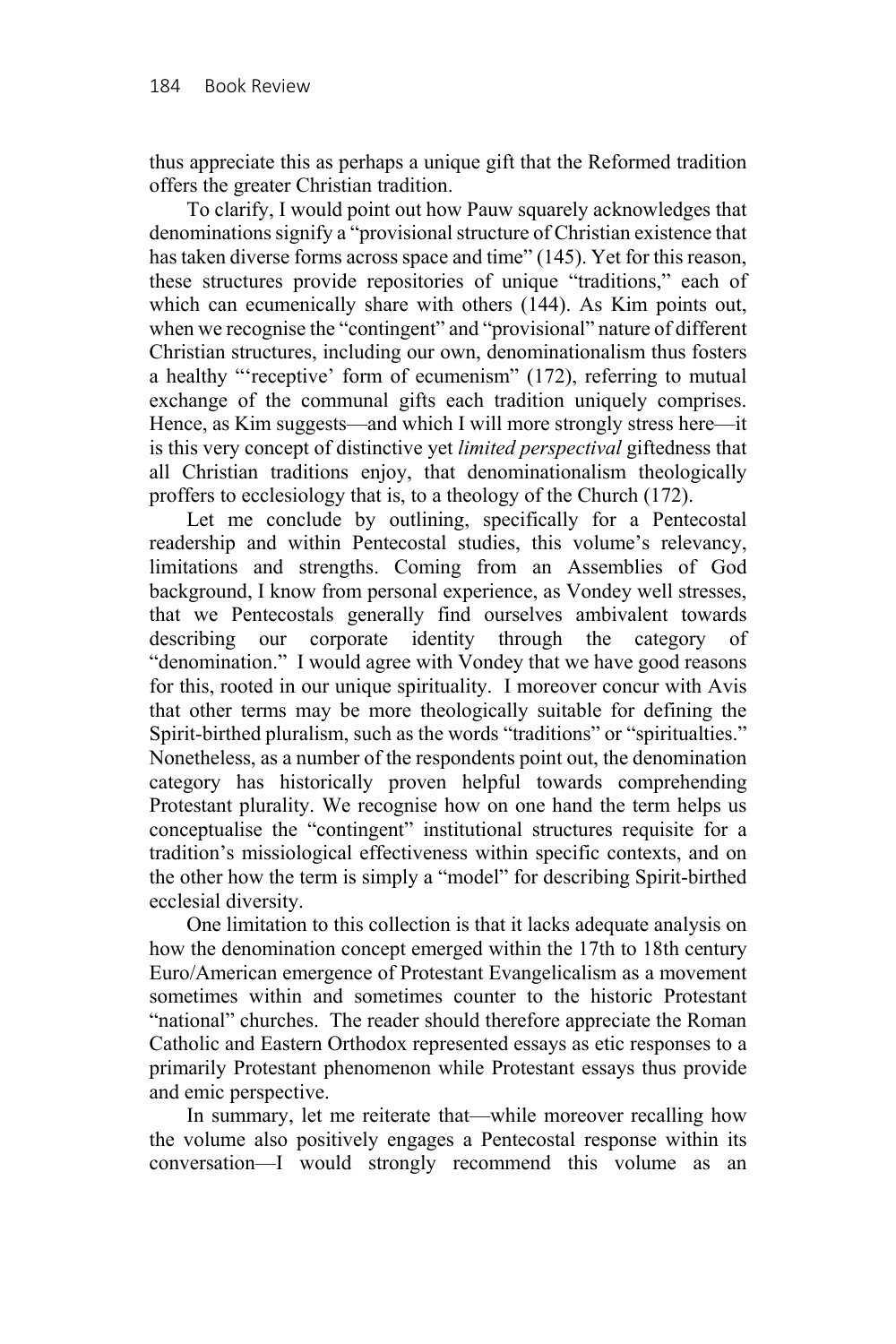thus appreciate this as perhaps a unique gift that the Reformed tradition offers the greater Christian tradition.

To clarify, I would point out how Pauw squarely acknowledges that denominations signify a "provisional structure of Christian existence that has taken diverse forms across space and time" (145). Yet for this reason, these structures provide repositories of unique "traditions," each of which can ecumenically share with others (144). As Kim points out, when we recognise the "contingent" and "provisional" nature of different Christian structures, including our own, denominationalism thus fosters a healthy "'receptive' form of ecumenism" (172), referring to mutual exchange of the communal gifts each tradition uniquely comprises. Hence, as Kim suggests—and which I will more strongly stress here—it is this very concept of distinctive yet *limited perspectival* giftedness that all Christian traditions enjoy, that denominationalism theologically proffers to ecclesiology that is, to a theology of the Church (172).

Let me conclude by outlining, specifically for a Pentecostal readership and within Pentecostal studies, this volume's relevancy, limitations and strengths. Coming from an Assemblies of God background, I know from personal experience, as Vondey well stresses, that we Pentecostals generally find ourselves ambivalent towards describing our corporate identity through the category of "denomination." I would agree with Vondey that we have good reasons for this, rooted in our unique spirituality. I moreover concur with Avis that other terms may be more theologically suitable for defining the Spirit-birthed pluralism, such as the words "traditions" or "spiritualties." Nonetheless, as a number of the respondents point out, the denomination category has historically proven helpful towards comprehending Protestant plurality. We recognise how on one hand the term helps us conceptualise the "contingent" institutional structures requisite for a tradition's missiological effectiveness within specific contexts, and on the other how the term is simply a "model" for describing Spirit-birthed ecclesial diversity.

One limitation to this collection is that it lacks adequate analysis on how the denomination concept emerged within the 17th to 18th century Euro/American emergence of Protestant Evangelicalism as a movement sometimes within and sometimes counter to the historic Protestant "national" churches. The reader should therefore appreciate the Roman Catholic and Eastern Orthodox represented essays as etic responses to a primarily Protestant phenomenon while Protestant essays thus provide and emic perspective.

In summary, let me reiterate that—while moreover recalling how the volume also positively engages a Pentecostal response within its conversation—I would strongly recommend this volume as an